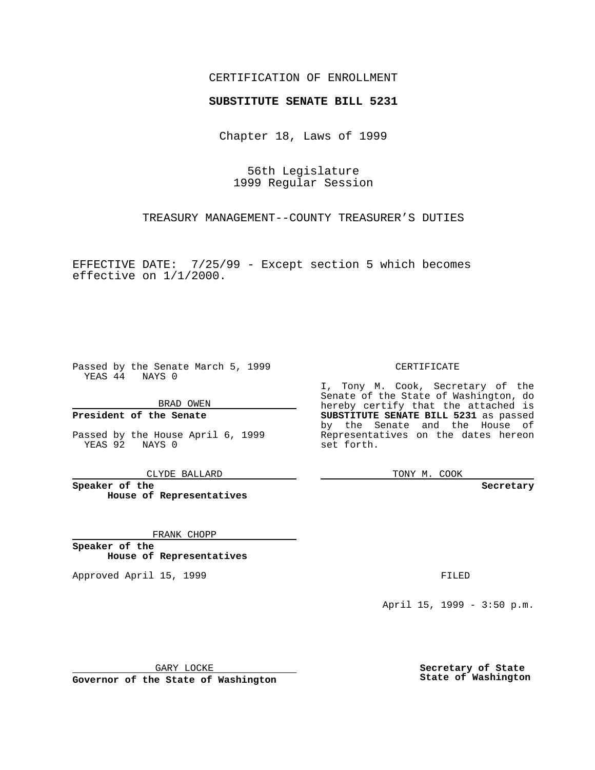### CERTIFICATION OF ENROLLMENT

# **SUBSTITUTE SENATE BILL 5231**

Chapter 18, Laws of 1999

56th Legislature 1999 Regular Session

TREASURY MANAGEMENT--COUNTY TREASURER'S DUTIES

EFFECTIVE DATE: 7/25/99 - Except section 5 which becomes effective on 1/1/2000.

Passed by the Senate March 5, 1999 YEAS 44 NAYS 0

BRAD OWEN

**President of the Senate**

Passed by the House April 6, 1999 YEAS 92 NAYS 0

CLYDE BALLARD

**Speaker of the House of Representatives**

FRANK CHOPP

**Speaker of the House of Representatives**

Approved April 15, 1999 **FILED** 

#### CERTIFICATE

I, Tony M. Cook, Secretary of the Senate of the State of Washington, do hereby certify that the attached is **SUBSTITUTE SENATE BILL 5231** as passed by the Senate and the House of Representatives on the dates hereon set forth.

TONY M. COOK

**Secretary**

April 15, 1999 - 3:50 p.m.

GARY LOCKE

**Governor of the State of Washington**

**Secretary of State State of Washington**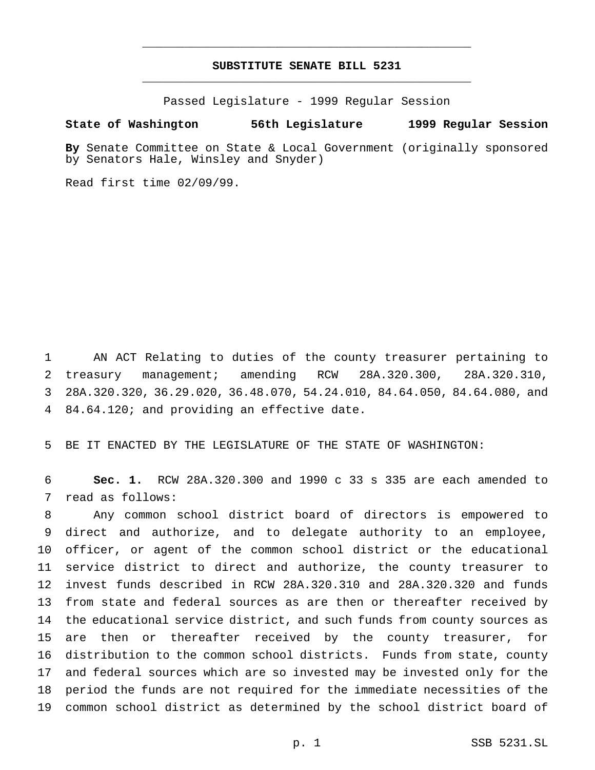## **SUBSTITUTE SENATE BILL 5231** \_\_\_\_\_\_\_\_\_\_\_\_\_\_\_\_\_\_\_\_\_\_\_\_\_\_\_\_\_\_\_\_\_\_\_\_\_\_\_\_\_\_\_\_\_\_\_

\_\_\_\_\_\_\_\_\_\_\_\_\_\_\_\_\_\_\_\_\_\_\_\_\_\_\_\_\_\_\_\_\_\_\_\_\_\_\_\_\_\_\_\_\_\_\_

Passed Legislature - 1999 Regular Session

#### **State of Washington 56th Legislature 1999 Regular Session**

**By** Senate Committee on State & Local Government (originally sponsored by Senators Hale, Winsley and Snyder)

Read first time 02/09/99.

 AN ACT Relating to duties of the county treasurer pertaining to treasury management; amending RCW 28A.320.300, 28A.320.310, 28A.320.320, 36.29.020, 36.48.070, 54.24.010, 84.64.050, 84.64.080, and 84.64.120; and providing an effective date.

BE IT ENACTED BY THE LEGISLATURE OF THE STATE OF WASHINGTON:

 **Sec. 1.** RCW 28A.320.300 and 1990 c 33 s 335 are each amended to read as follows:

 Any common school district board of directors is empowered to direct and authorize, and to delegate authority to an employee, officer, or agent of the common school district or the educational service district to direct and authorize, the county treasurer to invest funds described in RCW 28A.320.310 and 28A.320.320 and funds from state and federal sources as are then or thereafter received by the educational service district, and such funds from county sources as are then or thereafter received by the county treasurer, for distribution to the common school districts. Funds from state, county and federal sources which are so invested may be invested only for the period the funds are not required for the immediate necessities of the common school district as determined by the school district board of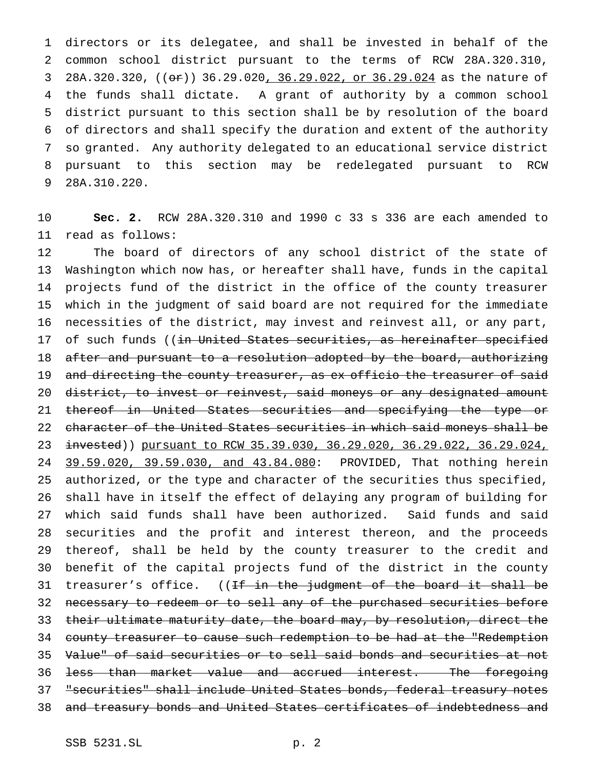directors or its delegatee, and shall be invested in behalf of the common school district pursuant to the terms of RCW 28A.320.310, 3 28A.320.320, ((or)) 36.29.020, 36.29.022, or 36.29.024 as the nature of the funds shall dictate. A grant of authority by a common school district pursuant to this section shall be by resolution of the board of directors and shall specify the duration and extent of the authority so granted. Any authority delegated to an educational service district pursuant to this section may be redelegated pursuant to RCW 28A.310.220.

 **Sec. 2.** RCW 28A.320.310 and 1990 c 33 s 336 are each amended to read as follows:

 The board of directors of any school district of the state of Washington which now has, or hereafter shall have, funds in the capital projects fund of the district in the office of the county treasurer which in the judgment of said board are not required for the immediate necessities of the district, may invest and reinvest all, or any part, 17 of such funds ((in United States securities, as hereinafter specified 18 after and pursuant to a resolution adopted by the board, authorizing 19 and directing the county treasurer, as ex officio the treasurer of said 20 district, to invest or reinvest, said moneys or any designated amount thereof in United States securities and specifying the type or character of the United States securities in which said moneys shall be invested)) pursuant to RCW 35.39.030, 36.29.020, 36.29.022, 36.29.024, 24 39.59.020, 39.59.030, and 43.84.080: PROVIDED, That nothing herein authorized, or the type and character of the securities thus specified, shall have in itself the effect of delaying any program of building for which said funds shall have been authorized. Said funds and said securities and the profit and interest thereon, and the proceeds thereof, shall be held by the county treasurer to the credit and benefit of the capital projects fund of the district in the county 31 treasurer's office. ((<del>If in the judgment of the board it shall be</del> 32 necessary to redeem or to sell any of the purchased securities before 33 their ultimate maturity date, the board may, by resolution, direct the county treasurer to cause such redemption to be had at the "Redemption Value" of said securities or to sell said bonds and securities at not less than market value and accrued interest. The foregoing "securities" shall include United States bonds, federal treasury notes and treasury bonds and United States certificates of indebtedness and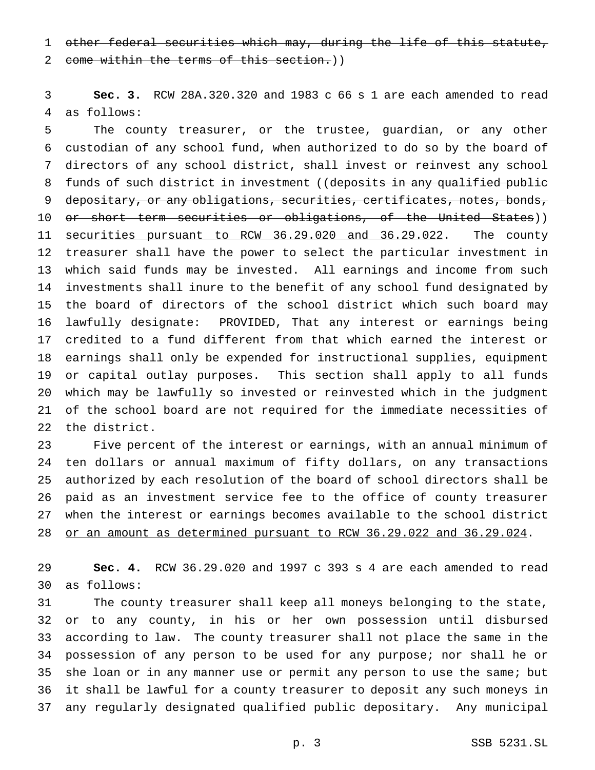other federal securities which may, during the life of this statute,

2 come within the terms of this section.))

 **Sec. 3.** RCW 28A.320.320 and 1983 c 66 s 1 are each amended to read as follows:

 The county treasurer, or the trustee, guardian, or any other custodian of any school fund, when authorized to do so by the board of directors of any school district, shall invest or reinvest any school 8 funds of such district in investment ((deposits in any qualified public 9 depositary, or any obligations, securities, certificates, notes, bonds, or short term securities or obligations, of the United States)) 11 securities pursuant to RCW 36.29.020 and 36.29.022. The county treasurer shall have the power to select the particular investment in which said funds may be invested. All earnings and income from such investments shall inure to the benefit of any school fund designated by the board of directors of the school district which such board may lawfully designate: PROVIDED, That any interest or earnings being credited to a fund different from that which earned the interest or earnings shall only be expended for instructional supplies, equipment or capital outlay purposes. This section shall apply to all funds which may be lawfully so invested or reinvested which in the judgment of the school board are not required for the immediate necessities of the district.

 Five percent of the interest or earnings, with an annual minimum of ten dollars or annual maximum of fifty dollars, on any transactions authorized by each resolution of the board of school directors shall be paid as an investment service fee to the office of county treasurer when the interest or earnings becomes available to the school district or an amount as determined pursuant to RCW 36.29.022 and 36.29.024.

 **Sec. 4.** RCW 36.29.020 and 1997 c 393 s 4 are each amended to read as follows:

 The county treasurer shall keep all moneys belonging to the state, or to any county, in his or her own possession until disbursed according to law. The county treasurer shall not place the same in the possession of any person to be used for any purpose; nor shall he or she loan or in any manner use or permit any person to use the same; but it shall be lawful for a county treasurer to deposit any such moneys in any regularly designated qualified public depositary. Any municipal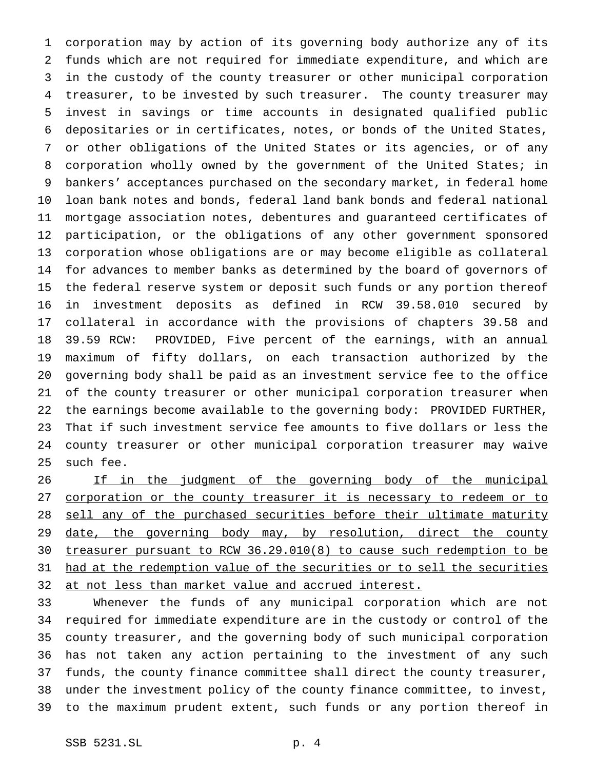corporation may by action of its governing body authorize any of its funds which are not required for immediate expenditure, and which are in the custody of the county treasurer or other municipal corporation treasurer, to be invested by such treasurer. The county treasurer may invest in savings or time accounts in designated qualified public depositaries or in certificates, notes, or bonds of the United States, or other obligations of the United States or its agencies, or of any 8 corporation wholly owned by the government of the United States; in bankers' acceptances purchased on the secondary market, in federal home loan bank notes and bonds, federal land bank bonds and federal national mortgage association notes, debentures and guaranteed certificates of participation, or the obligations of any other government sponsored corporation whose obligations are or may become eligible as collateral for advances to member banks as determined by the board of governors of the federal reserve system or deposit such funds or any portion thereof in investment deposits as defined in RCW 39.58.010 secured by collateral in accordance with the provisions of chapters 39.58 and 39.59 RCW: PROVIDED, Five percent of the earnings, with an annual maximum of fifty dollars, on each transaction authorized by the governing body shall be paid as an investment service fee to the office of the county treasurer or other municipal corporation treasurer when the earnings become available to the governing body: PROVIDED FURTHER, That if such investment service fee amounts to five dollars or less the county treasurer or other municipal corporation treasurer may waive such fee.

26 If in the judgment of the governing body of the municipal corporation or the county treasurer it is necessary to redeem or to 28 sell any of the purchased securities before their ultimate maturity 29 date, the governing body may, by resolution, direct the county treasurer pursuant to RCW 36.29.010(8) to cause such redemption to be had at the redemption value of the securities or to sell the securities at not less than market value and accrued interest.

 Whenever the funds of any municipal corporation which are not required for immediate expenditure are in the custody or control of the county treasurer, and the governing body of such municipal corporation has not taken any action pertaining to the investment of any such funds, the county finance committee shall direct the county treasurer, under the investment policy of the county finance committee, to invest, to the maximum prudent extent, such funds or any portion thereof in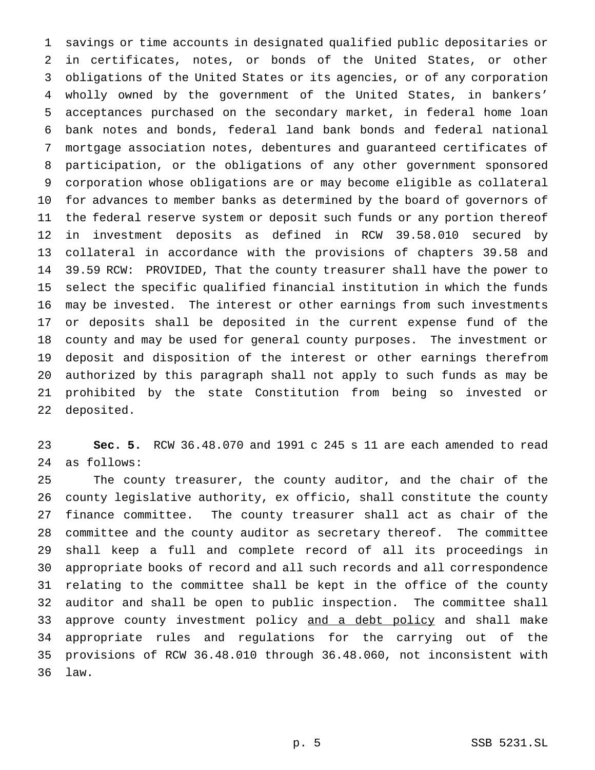savings or time accounts in designated qualified public depositaries or in certificates, notes, or bonds of the United States, or other obligations of the United States or its agencies, or of any corporation wholly owned by the government of the United States, in bankers' acceptances purchased on the secondary market, in federal home loan bank notes and bonds, federal land bank bonds and federal national mortgage association notes, debentures and guaranteed certificates of participation, or the obligations of any other government sponsored corporation whose obligations are or may become eligible as collateral for advances to member banks as determined by the board of governors of the federal reserve system or deposit such funds or any portion thereof in investment deposits as defined in RCW 39.58.010 secured by collateral in accordance with the provisions of chapters 39.58 and 39.59 RCW: PROVIDED, That the county treasurer shall have the power to select the specific qualified financial institution in which the funds may be invested. The interest or other earnings from such investments or deposits shall be deposited in the current expense fund of the county and may be used for general county purposes. The investment or deposit and disposition of the interest or other earnings therefrom authorized by this paragraph shall not apply to such funds as may be prohibited by the state Constitution from being so invested or deposited.

 **Sec. 5.** RCW 36.48.070 and 1991 c 245 s 11 are each amended to read as follows:

 The county treasurer, the county auditor, and the chair of the county legislative authority, ex officio, shall constitute the county finance committee. The county treasurer shall act as chair of the committee and the county auditor as secretary thereof. The committee shall keep a full and complete record of all its proceedings in appropriate books of record and all such records and all correspondence relating to the committee shall be kept in the office of the county auditor and shall be open to public inspection. The committee shall 33 approve county investment policy and a debt policy and shall make appropriate rules and regulations for the carrying out of the provisions of RCW 36.48.010 through 36.48.060, not inconsistent with law.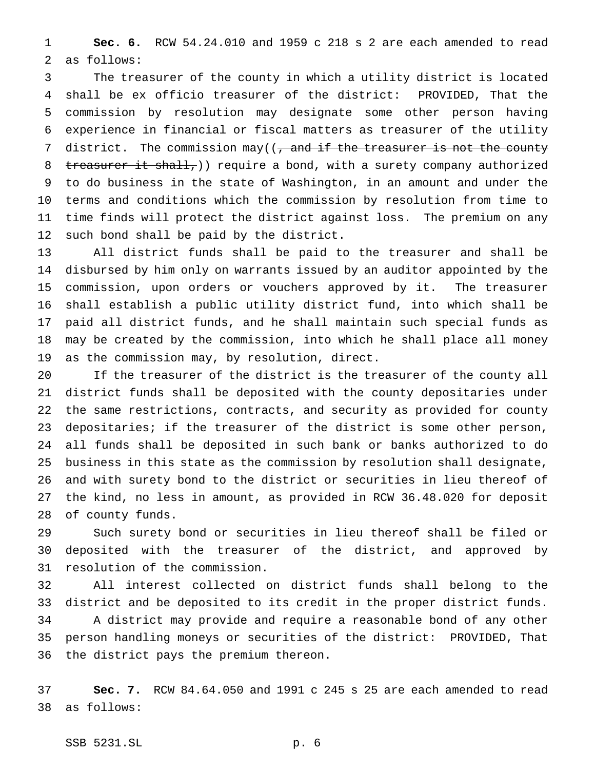**Sec. 6.** RCW 54.24.010 and 1959 c 218 s 2 are each amended to read as follows:

 The treasurer of the county in which a utility district is located shall be ex officio treasurer of the district: PROVIDED, That the commission by resolution may designate some other person having experience in financial or fiscal matters as treasurer of the utility 7 district. The commission may( $(\tau$  and if the treasurer is not the county 8 treasurer it shall, ) require a bond, with a surety company authorized to do business in the state of Washington, in an amount and under the terms and conditions which the commission by resolution from time to time finds will protect the district against loss. The premium on any such bond shall be paid by the district.

 All district funds shall be paid to the treasurer and shall be disbursed by him only on warrants issued by an auditor appointed by the commission, upon orders or vouchers approved by it. The treasurer shall establish a public utility district fund, into which shall be paid all district funds, and he shall maintain such special funds as may be created by the commission, into which he shall place all money as the commission may, by resolution, direct.

 If the treasurer of the district is the treasurer of the county all district funds shall be deposited with the county depositaries under the same restrictions, contracts, and security as provided for county depositaries; if the treasurer of the district is some other person, all funds shall be deposited in such bank or banks authorized to do business in this state as the commission by resolution shall designate, and with surety bond to the district or securities in lieu thereof of the kind, no less in amount, as provided in RCW 36.48.020 for deposit of county funds.

 Such surety bond or securities in lieu thereof shall be filed or deposited with the treasurer of the district, and approved by resolution of the commission.

 All interest collected on district funds shall belong to the district and be deposited to its credit in the proper district funds. A district may provide and require a reasonable bond of any other person handling moneys or securities of the district: PROVIDED, That the district pays the premium thereon.

 **Sec. 7.** RCW 84.64.050 and 1991 c 245 s 25 are each amended to read as follows: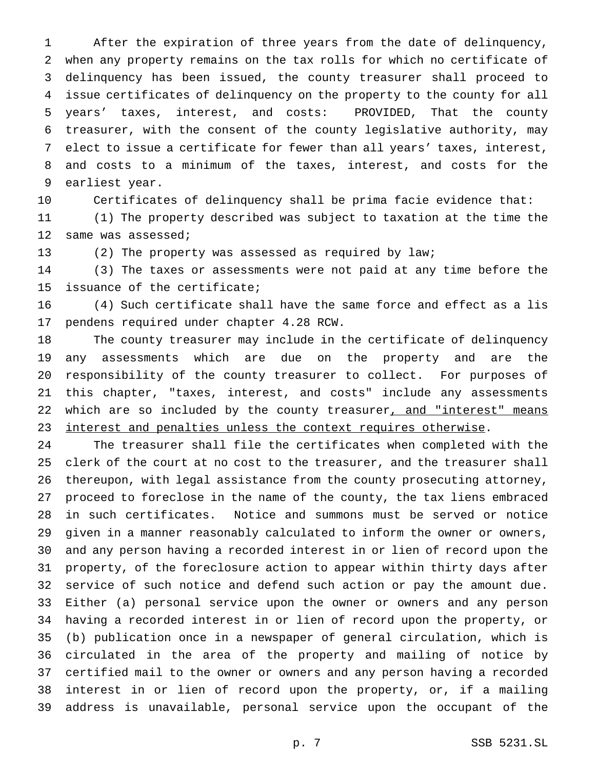After the expiration of three years from the date of delinquency, when any property remains on the tax rolls for which no certificate of delinquency has been issued, the county treasurer shall proceed to issue certificates of delinquency on the property to the county for all years' taxes, interest, and costs: PROVIDED, That the county treasurer, with the consent of the county legislative authority, may elect to issue a certificate for fewer than all years' taxes, interest, and costs to a minimum of the taxes, interest, and costs for the earliest year.

Certificates of delinquency shall be prima facie evidence that:

 (1) The property described was subject to taxation at the time the same was assessed;

(2) The property was assessed as required by law;

 (3) The taxes or assessments were not paid at any time before the issuance of the certificate;

 (4) Such certificate shall have the same force and effect as a lis pendens required under chapter 4.28 RCW.

 The county treasurer may include in the certificate of delinquency any assessments which are due on the property and are the responsibility of the county treasurer to collect. For purposes of this chapter, "taxes, interest, and costs" include any assessments 22 which are so included by the county treasurer, and "interest" means interest and penalties unless the context requires otherwise.

 The treasurer shall file the certificates when completed with the clerk of the court at no cost to the treasurer, and the treasurer shall thereupon, with legal assistance from the county prosecuting attorney, proceed to foreclose in the name of the county, the tax liens embraced in such certificates. Notice and summons must be served or notice given in a manner reasonably calculated to inform the owner or owners, and any person having a recorded interest in or lien of record upon the property, of the foreclosure action to appear within thirty days after service of such notice and defend such action or pay the amount due. Either (a) personal service upon the owner or owners and any person having a recorded interest in or lien of record upon the property, or (b) publication once in a newspaper of general circulation, which is circulated in the area of the property and mailing of notice by certified mail to the owner or owners and any person having a recorded interest in or lien of record upon the property, or, if a mailing address is unavailable, personal service upon the occupant of the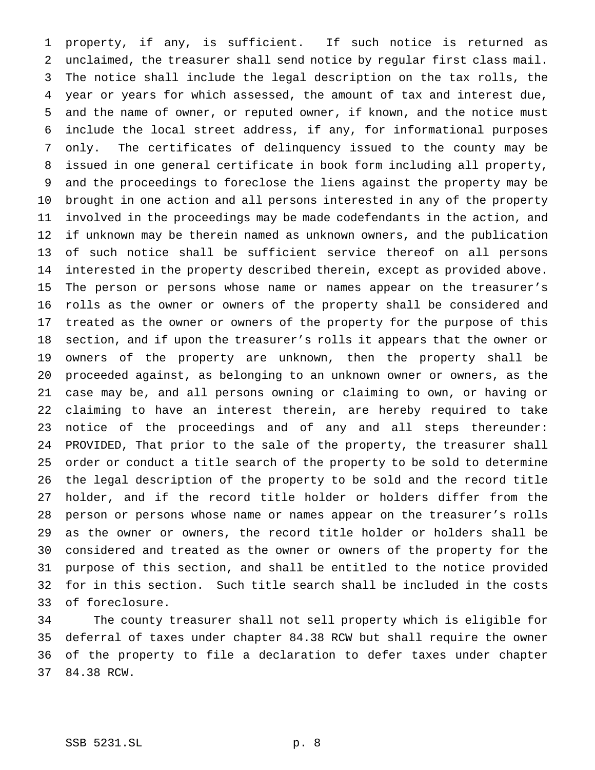property, if any, is sufficient. If such notice is returned as unclaimed, the treasurer shall send notice by regular first class mail. The notice shall include the legal description on the tax rolls, the year or years for which assessed, the amount of tax and interest due, and the name of owner, or reputed owner, if known, and the notice must include the local street address, if any, for informational purposes only. The certificates of delinquency issued to the county may be issued in one general certificate in book form including all property, and the proceedings to foreclose the liens against the property may be brought in one action and all persons interested in any of the property involved in the proceedings may be made codefendants in the action, and if unknown may be therein named as unknown owners, and the publication of such notice shall be sufficient service thereof on all persons interested in the property described therein, except as provided above. The person or persons whose name or names appear on the treasurer's rolls as the owner or owners of the property shall be considered and treated as the owner or owners of the property for the purpose of this section, and if upon the treasurer's rolls it appears that the owner or owners of the property are unknown, then the property shall be proceeded against, as belonging to an unknown owner or owners, as the case may be, and all persons owning or claiming to own, or having or claiming to have an interest therein, are hereby required to take notice of the proceedings and of any and all steps thereunder: PROVIDED, That prior to the sale of the property, the treasurer shall order or conduct a title search of the property to be sold to determine the legal description of the property to be sold and the record title holder, and if the record title holder or holders differ from the person or persons whose name or names appear on the treasurer's rolls as the owner or owners, the record title holder or holders shall be considered and treated as the owner or owners of the property for the purpose of this section, and shall be entitled to the notice provided for in this section. Such title search shall be included in the costs of foreclosure.

 The county treasurer shall not sell property which is eligible for deferral of taxes under chapter 84.38 RCW but shall require the owner of the property to file a declaration to defer taxes under chapter 84.38 RCW.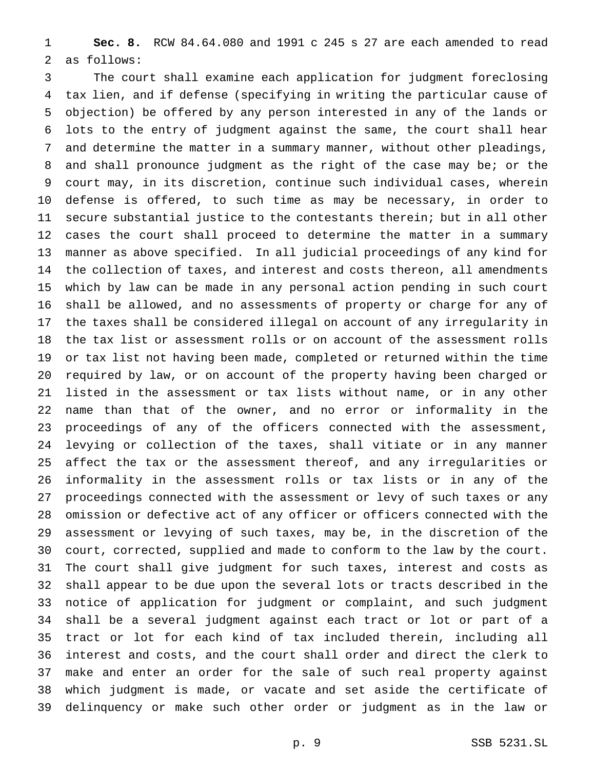**Sec. 8.** RCW 84.64.080 and 1991 c 245 s 27 are each amended to read as follows:

 The court shall examine each application for judgment foreclosing tax lien, and if defense (specifying in writing the particular cause of objection) be offered by any person interested in any of the lands or lots to the entry of judgment against the same, the court shall hear and determine the matter in a summary manner, without other pleadings, and shall pronounce judgment as the right of the case may be; or the court may, in its discretion, continue such individual cases, wherein defense is offered, to such time as may be necessary, in order to secure substantial justice to the contestants therein; but in all other cases the court shall proceed to determine the matter in a summary manner as above specified. In all judicial proceedings of any kind for the collection of taxes, and interest and costs thereon, all amendments which by law can be made in any personal action pending in such court shall be allowed, and no assessments of property or charge for any of the taxes shall be considered illegal on account of any irregularity in the tax list or assessment rolls or on account of the assessment rolls or tax list not having been made, completed or returned within the time required by law, or on account of the property having been charged or listed in the assessment or tax lists without name, or in any other name than that of the owner, and no error or informality in the proceedings of any of the officers connected with the assessment, levying or collection of the taxes, shall vitiate or in any manner affect the tax or the assessment thereof, and any irregularities or informality in the assessment rolls or tax lists or in any of the proceedings connected with the assessment or levy of such taxes or any omission or defective act of any officer or officers connected with the assessment or levying of such taxes, may be, in the discretion of the court, corrected, supplied and made to conform to the law by the court. The court shall give judgment for such taxes, interest and costs as shall appear to be due upon the several lots or tracts described in the notice of application for judgment or complaint, and such judgment shall be a several judgment against each tract or lot or part of a tract or lot for each kind of tax included therein, including all interest and costs, and the court shall order and direct the clerk to make and enter an order for the sale of such real property against which judgment is made, or vacate and set aside the certificate of delinquency or make such other order or judgment as in the law or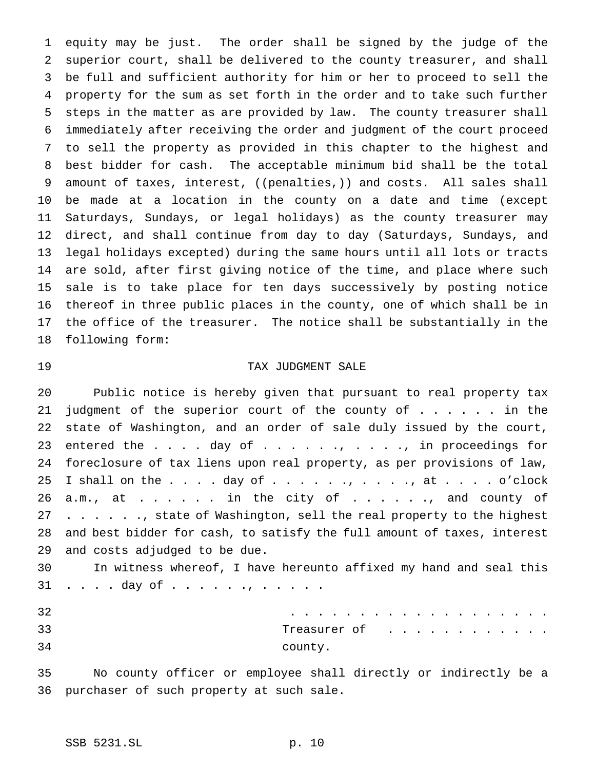equity may be just. The order shall be signed by the judge of the superior court, shall be delivered to the county treasurer, and shall be full and sufficient authority for him or her to proceed to sell the property for the sum as set forth in the order and to take such further steps in the matter as are provided by law. The county treasurer shall immediately after receiving the order and judgment of the court proceed to sell the property as provided in this chapter to the highest and best bidder for cash. The acceptable minimum bid shall be the total 9 amount of taxes, interest, ((penalties,)) and costs. All sales shall be made at a location in the county on a date and time (except Saturdays, Sundays, or legal holidays) as the county treasurer may direct, and shall continue from day to day (Saturdays, Sundays, and legal holidays excepted) during the same hours until all lots or tracts are sold, after first giving notice of the time, and place where such sale is to take place for ten days successively by posting notice thereof in three public places in the county, one of which shall be in the office of the treasurer. The notice shall be substantially in the following form:

# TAX JUDGMENT SALE

 Public notice is hereby given that pursuant to real property tax 21 judgment of the superior court of the county of . . . . . in the state of Washington, and an order of sale duly issued by the court, 23 entered the . . . . day of . . . . . . , . . . ., in proceedings for foreclosure of tax liens upon real property, as per provisions of law, 25 I shall on the  $\ldots$  . day of  $\ldots$  . . ., . . ., at . . . . o'clock a.m., at . . . . . in the city of . . . . . . and county of 27 . . . . . ., state of Washington, sell the real property to the highest and best bidder for cash, to satisfy the full amount of taxes, interest and costs adjudged to be due.

 In witness whereof, I have hereunto affixed my hand and seal this 31 . . . . day of . . . . . . , . . . . .

| 32 | .            |
|----|--------------|
| 33 | Treasurer of |
| 34 | county.      |

 No county officer or employee shall directly or indirectly be a purchaser of such property at such sale.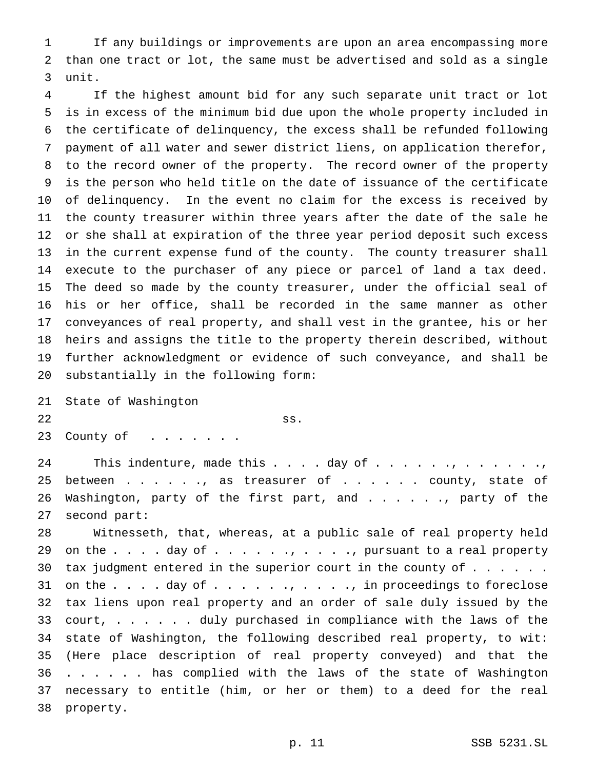If any buildings or improvements are upon an area encompassing more than one tract or lot, the same must be advertised and sold as a single unit.

 If the highest amount bid for any such separate unit tract or lot is in excess of the minimum bid due upon the whole property included in the certificate of delinquency, the excess shall be refunded following payment of all water and sewer district liens, on application therefor, to the record owner of the property. The record owner of the property is the person who held title on the date of issuance of the certificate of delinquency. In the event no claim for the excess is received by the county treasurer within three years after the date of the sale he or she shall at expiration of the three year period deposit such excess in the current expense fund of the county. The county treasurer shall execute to the purchaser of any piece or parcel of land a tax deed. The deed so made by the county treasurer, under the official seal of his or her office, shall be recorded in the same manner as other conveyances of real property, and shall vest in the grantee, his or her heirs and assigns the title to the property therein described, without further acknowledgment or evidence of such conveyance, and shall be substantially in the following form:

 State of Washington  $\left\{\n \begin{array}{c}\n 35 \\
\end{array}\n\right\}$ 23 County of . . . . . . .

 This indenture, made this . . . . day of . . . . . ., . . . . . ., 25 between . . . . . , as treasurer of . . . . . . county, state of 26 Washington, party of the first part, and . . . . . . party of the second part:

 Witnesseth, that, whereas, at a public sale of real property held 29 on the  $\ldots$  . . day of  $\ldots$  . . . . . . . . . . pursuant to a real property 30 tax judgment entered in the superior court in the county of  $\ldots$ ... 31 on the  $\ldots$  . day of  $\ldots$  . . . . . . . . . . in proceedings to foreclose tax liens upon real property and an order of sale duly issued by the 33 court, . . . . . duly purchased in compliance with the laws of the state of Washington, the following described real property, to wit: (Here place description of real property conveyed) and that the . . . . . . has complied with the laws of the state of Washington necessary to entitle (him, or her or them) to a deed for the real property.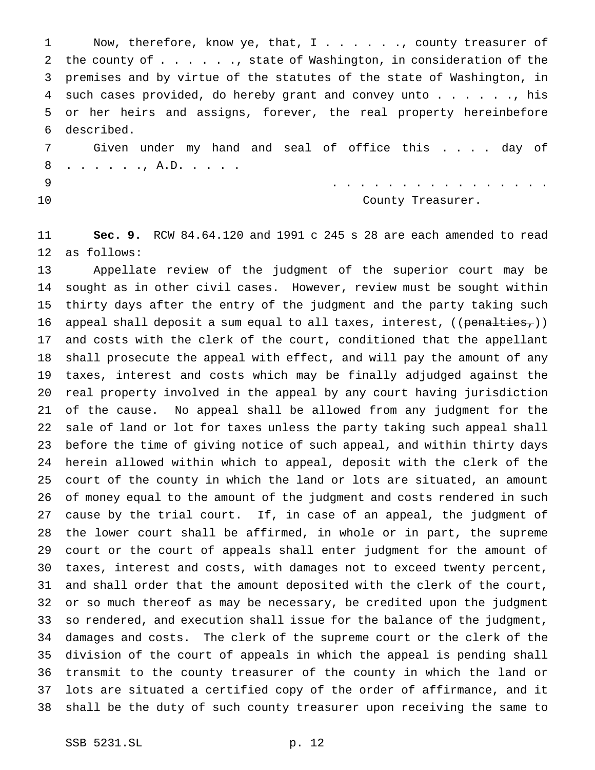1 Now, therefore, know ye, that, I . . . . . . , county treasurer of 2 the county of . . . . . ., state of Washington, in consideration of the premises and by virtue of the statutes of the state of Washington, in such cases provided, do hereby grant and convey unto . . . . . ., his or her heirs and assigns, forever, the real property hereinbefore described.

 Given under my hand and seal of office this . . . . day of 8 . . . . . . , A.D. . . . .

................

10 County Treasurer.

 **Sec. 9.** RCW 84.64.120 and 1991 c 245 s 28 are each amended to read as follows:

 Appellate review of the judgment of the superior court may be sought as in other civil cases. However, review must be sought within thirty days after the entry of the judgment and the party taking such 16 appeal shall deposit a sum equal to all taxes, interest,  $((penalties<sub>r</sub>)))$  and costs with the clerk of the court, conditioned that the appellant shall prosecute the appeal with effect, and will pay the amount of any taxes, interest and costs which may be finally adjudged against the real property involved in the appeal by any court having jurisdiction of the cause. No appeal shall be allowed from any judgment for the sale of land or lot for taxes unless the party taking such appeal shall before the time of giving notice of such appeal, and within thirty days herein allowed within which to appeal, deposit with the clerk of the court of the county in which the land or lots are situated, an amount of money equal to the amount of the judgment and costs rendered in such cause by the trial court. If, in case of an appeal, the judgment of the lower court shall be affirmed, in whole or in part, the supreme court or the court of appeals shall enter judgment for the amount of taxes, interest and costs, with damages not to exceed twenty percent, and shall order that the amount deposited with the clerk of the court, or so much thereof as may be necessary, be credited upon the judgment so rendered, and execution shall issue for the balance of the judgment, damages and costs. The clerk of the supreme court or the clerk of the division of the court of appeals in which the appeal is pending shall transmit to the county treasurer of the county in which the land or lots are situated a certified copy of the order of affirmance, and it shall be the duty of such county treasurer upon receiving the same to